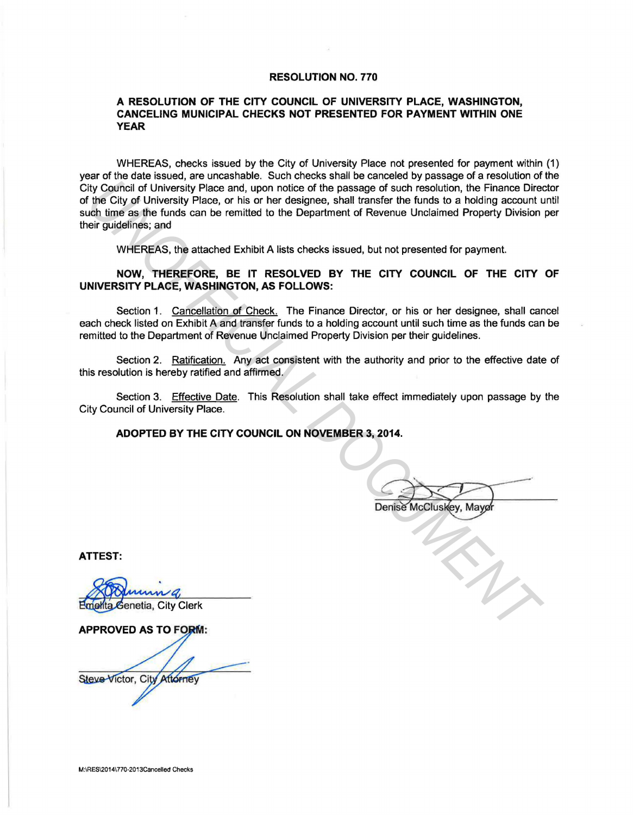### RESOLUTION NO. 770

### A RESOLUTION OF THE CITY COUNCIL OF UNIVERSITY PLACE, WASHINGTON, CANCELING MUNICIPAL CHECKS NOT PRESENTED FOR PAYMENT WITHIN ONE YEAR

WHEREAS, checks issued by the City of University Place not presented for payment within (1) year of the date issued, are uncashable. Such checks shall be canceled by passage of a resolution of the City Council of University Place and, upon notice of the passage of such resolution, the Finance Director of the City of University Place, or his or her designee, shall transfer the funds to a holding account until such time as the funds can be remitted to the Department of Revenue Unclaimed Property Division per their guidelines; and *UNCOR* CONTERT THE CITY COUNCIL ON NOVEMBER 3, 2014.<br>
We Colve the City of University Place and, upon notice of the passage of such resolution, the Finance Direct<br>
the City of University Place and the other designes, shal

WHEREAS, the attached Exhibit A lists checks issued, but not presented for payment.

NOW, THEREFORE, BE IT RESOLVED BY THE CITY COUNCIL OF THE CITY OF UNIVERSITY PLACE, WASHINGTON, AS FOLLOWS:

Section 1. Cancellation of Check. The Finance Director, or his or her designee, shall cancel each check listed on Exhibit A and transfer funds to a holding account until such time as the funds can be remitted to the Department of Revenue Unclaimed Property Division per their guidelines.

Section 2. Ratification. Any act consistent with the authority and prior to the effective date of this resolution is hereby ratified and affirmed.

Section 3. Effective Date. This Resolution shall take effect immediately upon passage by the City Council of University Place.

ADOPTED BY THE CITY COUNCIL ON NOVEMBER 3, 2014.

ATTEST:

Steve Victor, City Attorney